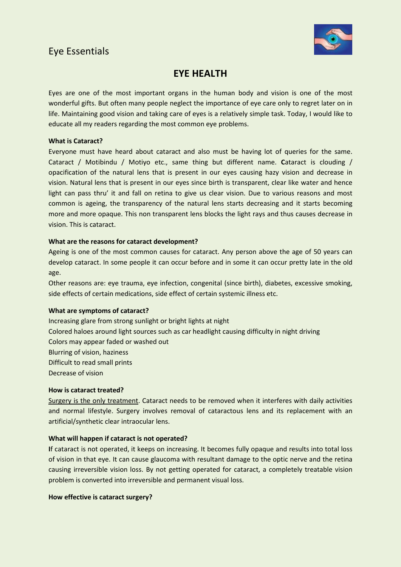## Eye Essentials



### **EYE HEALTH**

Eyes are one of the most important organs in the human body and vision is one of the most wonderful gifts. But often many people neglect the importance of eye care only to regret later on in life. Maintaining good vision and taking care of eyes is a relatively simple task. Today, I would like to educate all my readers regarding the most common eye problems.

#### **What is Cataract?**

Everyone must have heard about cataract and also must be having lot of queries for the same. Cataract / Motibindu / Motiyo etc., same thing but different name. **C**ataract is clouding / opacification of the natural lens that is present in our eyes causing hazy vision and decrease in vision. Natural lens that is present in our eyes since birth is transparent, clear like water and hence light can pass thru' it and fall on retina to give us clear vision. Due to various reasons and most common is ageing, the transparency of the natural lens starts decreasing and it starts becoming more and more opaque. This non transparent lens blocks the light rays and thus causes decrease in vision. This is cataract.

#### **What are the reasons for cataract development?**

Ageing is one of the most common causes for cataract. Any person above the age of 50 years can develop cataract. In some people it can occur before and in some it can occur pretty late in the old age.

Other reasons are: eye trauma, eye infection, congenital (since birth), diabetes, excessive smoking, side effects of certain medications, side effect of certain systemic illness etc.

#### **What are symptoms of cataract?**

Increasing glare from strong sunlight or bright lights at night Colored haloes around light sources such as car headlight causing difficulty in night driving Colors may appear faded or washed out Blurring of vision, haziness Difficult to read small prints Decrease of vision

#### **How is cataract treated?**

Surgery is the only treatment. Cataract needs to be removed when it interferes with daily activities and normal lifestyle. Surgery involves removal of cataractous lens and its replacement with an artificial/synthetic clear intraocular lens.

#### **What will happen if cataract is not operated?**

**I**f cataract is not operated, it keeps on increasing. It becomes fully opaque and results into total loss of vision in that eye. It can cause glaucoma with resultant damage to the optic nerve and the retina causing irreversible vision loss. By not getting operated for cataract, a completely treatable vision problem is converted into irreversible and permanent visual loss.

#### **How effective is cataract surgery?**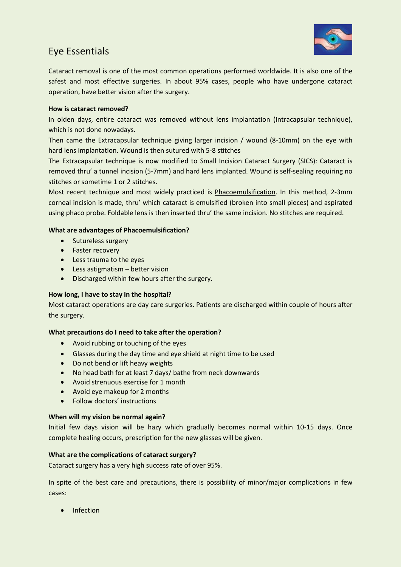

# Eye Essentials

Cataract removal is one of the most common operations performed worldwide. It is also one of the safest and most effective surgeries. In about 95% cases, people who have undergone cataract operation, have better vision after the surgery.

#### **How is cataract removed?**

In olden days, entire cataract was removed without lens implantation (Intracapsular technique), which is not done nowadays.

Then came the Extracapsular technique giving larger incision / wound (8-10mm) on the eye with hard lens implantation. Wound is then sutured with 5-8 stitches

The Extracapsular technique is now modified to Small Incision Cataract Surgery (SICS): Cataract is removed thru' a tunnel incision (5-7mm) and hard lens implanted. Wound is self-sealing requiring no stitches or sometime 1 or 2 stitches.

Most recent technique and most widely practiced is Phacoemulsification. In this method, 2-3mm corneal incision is made, thru' which cataract is emulsified (broken into small pieces) and aspirated using phaco probe. Foldable lens is then inserted thru' the same incision. No stitches are required.

#### **What are advantages of Phacoemulsification?**

- Sutureless surgery
- Faster recovery
- Less trauma to the eyes
- Less astigmatism better vision
- Discharged within few hours after the surgery.

#### **How long, I have to stay in the hospital?**

Most cataract operations are day care surgeries. Patients are discharged within couple of hours after the surgery.

#### **What precautions do I need to take after the operation?**

- Avoid rubbing or touching of the eyes
- Glasses during the day time and eye shield at night time to be used
- Do not bend or lift heavy weights
- No head bath for at least 7 days/ bathe from neck downwards
- Avoid strenuous exercise for 1 month
- Avoid eye makeup for 2 months
- Follow doctors' instructions

#### **When will my vision be normal again?**

Initial few days vision will be hazy which gradually becomes normal within 10-15 days. Once complete healing occurs, prescription for the new glasses will be given.

#### **What are the complications of cataract surgery?**

Cataract surgery has a very high success rate of over 95%.

In spite of the best care and precautions, there is possibility of minor/major complications in few cases:

• Infection